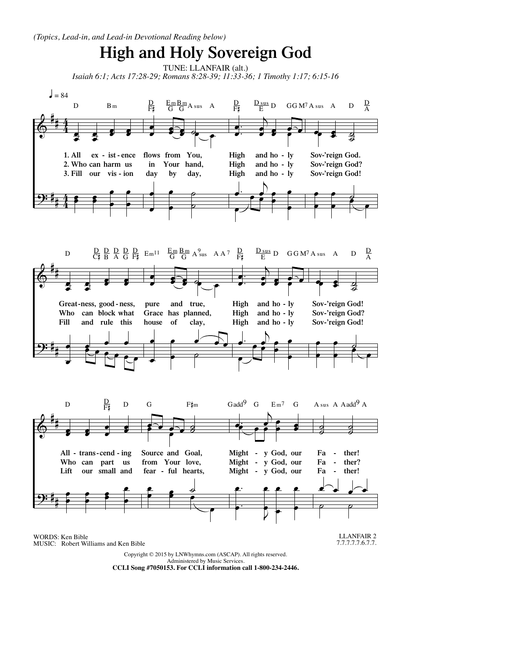

CCLI Song #7050153. For CCLI information call 1-800-234-2446.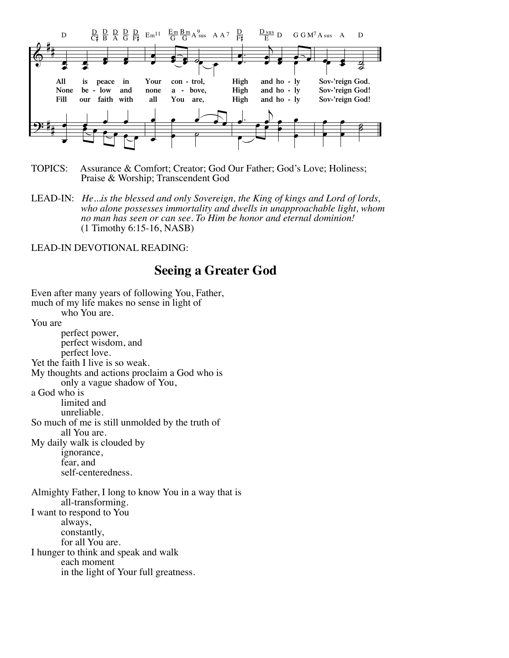

- TOPICS: Assurance & Comfort; Creator; God Our Father; God's Love; Holiness; Praise & Worship; Transcendent God
- LEAD-IN: *He...is the blessed and only Sovereign, the King of kings and Lord of lords,*<br>who alone possesses immortality and dwells in unapproachable light, whom<br>no man has seen or can see. To Him be honor and eternal domin

## LEAD-IN DEVOTIONAL READING:

## **Seeing a Greater God**

Even after many years of following You, Father, much of my life makes no sense in light of who You are. You are<br>perfect power, perfect wisdom, and perfect love. Yet the faith I live is so weak. My thoughts and actions proclaim a God who is only a vague shadow of You, a God who is limited and unreliable. So much of me is still unmolded by the truth of all You are. My daily walk is clouded by ignorance, fear, and self-centeredness. Almighty Father, I long to know You in a way that is all-transforming. I want to respond to You constantly,<br>for all You are. I hunger to think and speak and walk in the light of Your full greatness.